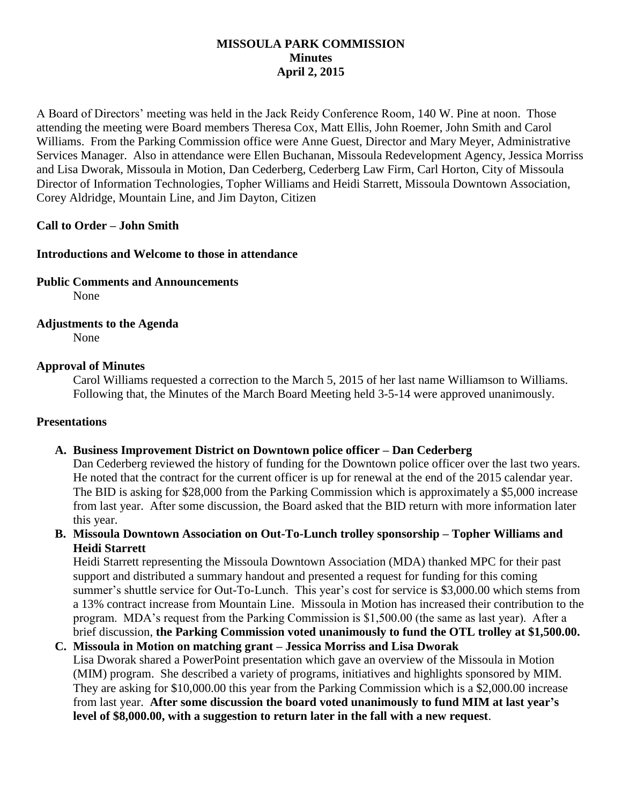## **MISSOULA PARK COMMISSION Minutes April 2, 2015**

A Board of Directors' meeting was held in the Jack Reidy Conference Room, 140 W. Pine at noon. Those attending the meeting were Board members Theresa Cox, Matt Ellis, John Roemer, John Smith and Carol Williams. From the Parking Commission office were Anne Guest, Director and Mary Meyer, Administrative Services Manager. Also in attendance were Ellen Buchanan, Missoula Redevelopment Agency, Jessica Morriss and Lisa Dworak, Missoula in Motion, Dan Cederberg, Cederberg Law Firm, Carl Horton, City of Missoula Director of Information Technologies, Topher Williams and Heidi Starrett, Missoula Downtown Association, Corey Aldridge, Mountain Line, and Jim Dayton, Citizen

## **Call to Order – John Smith**

## **Introductions and Welcome to those in attendance**

**Public Comments and Announcements**

None

## **Adjustments to the Agenda**

None

## **Approval of Minutes**

Carol Williams requested a correction to the March 5, 2015 of her last name Williamson to Williams. Following that, the Minutes of the March Board Meeting held 3-5-14 were approved unanimously.

#### **Presentations**

#### **A. Business Improvement District on Downtown police officer – Dan Cederberg**

Dan Cederberg reviewed the history of funding for the Downtown police officer over the last two years. He noted that the contract for the current officer is up for renewal at the end of the 2015 calendar year. The BID is asking for \$28,000 from the Parking Commission which is approximately a \$5,000 increase from last year. After some discussion, the Board asked that the BID return with more information later this year.

**B. Missoula Downtown Association on Out-To-Lunch trolley sponsorship – Topher Williams and Heidi Starrett**

Heidi Starrett representing the Missoula Downtown Association (MDA) thanked MPC for their past support and distributed a summary handout and presented a request for funding for this coming summer's shuttle service for Out-To-Lunch. This year's cost for service is \$3,000.00 which stems from a 13% contract increase from Mountain Line. Missoula in Motion has increased their contribution to the program. MDA's request from the Parking Commission is \$1,500.00 (the same as last year). After a brief discussion, **the Parking Commission voted unanimously to fund the OTL trolley at \$1,500.00.**

# **C. Missoula in Motion on matching grant – Jessica Morriss and Lisa Dworak**

Lisa Dworak shared a PowerPoint presentation which gave an overview of the Missoula in Motion (MIM) program. She described a variety of programs, initiatives and highlights sponsored by MIM. They are asking for \$10,000.00 this year from the Parking Commission which is a \$2,000.00 increase from last year. **After some discussion the board voted unanimously to fund MIM at last year's level of \$8,000.00, with a suggestion to return later in the fall with a new request**.